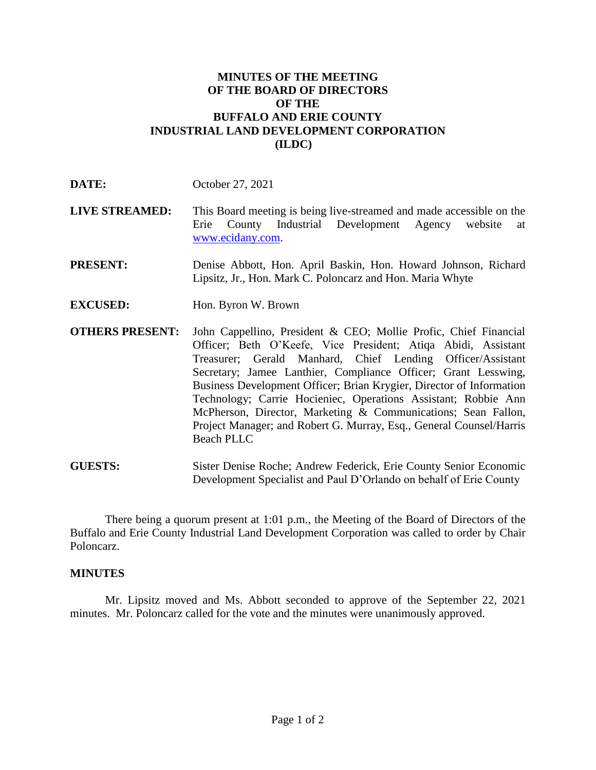## **MINUTES OF THE MEETING OF THE BOARD OF DIRECTORS OF THE BUFFALO AND ERIE COUNTY INDUSTRIAL LAND DEVELOPMENT CORPORATION (ILDC)**

- **LIVE STREAMED:** This Board meeting is being live-streamed and made accessible on the Erie County Industrial Development Agency website at [www.ecidany.com.](http://www.ecidany.com/)
- **PRESENT:** Denise Abbott, Hon. April Baskin, Hon. Howard Johnson, Richard Lipsitz, Jr., Hon. Mark C. Poloncarz and Hon. Maria Whyte
- **EXCUSED:** Hon. Byron W. Brown
- **OTHERS PRESENT:** John Cappellino, President & CEO; Mollie Profic, Chief Financial Officer; Beth O'Keefe, Vice President; Atiqa Abidi, Assistant Treasurer; Gerald Manhard, Chief Lending Officer/Assistant Secretary; Jamee Lanthier, Compliance Officer; Grant Lesswing, Business Development Officer; Brian Krygier, Director of Information Technology; Carrie Hocieniec, Operations Assistant; Robbie Ann McPherson, Director, Marketing & Communications; Sean Fallon, Project Manager; and Robert G. Murray, Esq., General Counsel/Harris Beach PLLC

**GUESTS:** Sister Denise Roche; Andrew Federick, Erie County Senior Economic Development Specialist and Paul D'Orlando on behalf of Erie County

There being a quorum present at 1:01 p.m., the Meeting of the Board of Directors of the Buffalo and Erie County Industrial Land Development Corporation was called to order by Chair Poloncarz.

## **MINUTES**

Mr. Lipsitz moved and Ms. Abbott seconded to approve of the September 22, 2021 minutes. Mr. Poloncarz called for the vote and the minutes were unanimously approved.